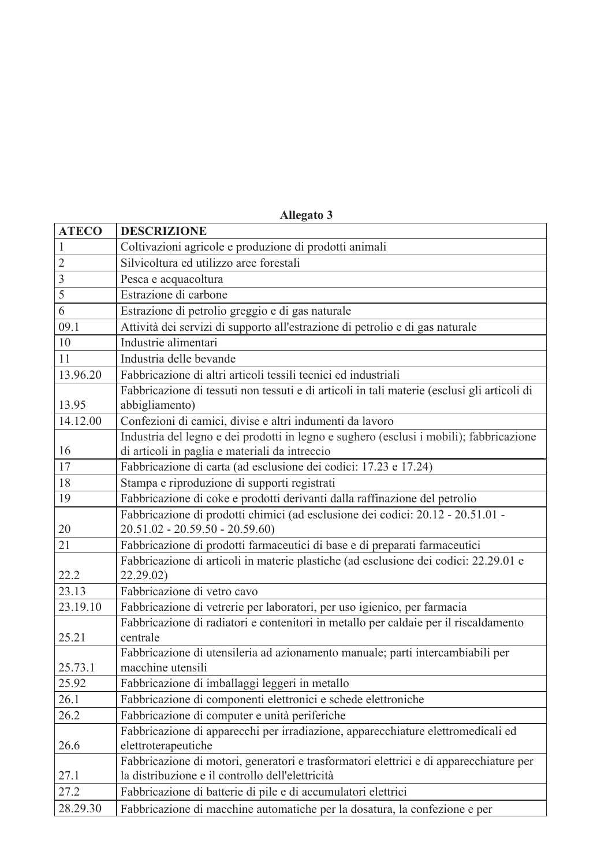| <b>ATECO</b>   | <b>DESCRIZIONE</b>                                                                                                                         |
|----------------|--------------------------------------------------------------------------------------------------------------------------------------------|
| $\mathbf{1}$   | Coltivazioni agricole e produzione di prodotti animali                                                                                     |
| $\overline{2}$ | Silvicoltura ed utilizzo aree forestali                                                                                                    |
| $\overline{3}$ | Pesca e acquacoltura                                                                                                                       |
| 5              | Estrazione di carbone                                                                                                                      |
| 6              | Estrazione di petrolio greggio e di gas naturale                                                                                           |
| 09.1           | Attività dei servizi di supporto all'estrazione di petrolio e di gas naturale                                                              |
| 10             | Industrie alimentari                                                                                                                       |
| 11             | Industria delle bevande                                                                                                                    |
| 13.96.20       | Fabbricazione di altri articoli tessili tecnici ed industriali                                                                             |
| 13.95          | Fabbricazione di tessuti non tessuti e di articoli in tali materie (esclusi gli articoli di<br>abbigliamento)                              |
| 14.12.00       | Confezioni di camici, divise e altri indumenti da lavoro                                                                                   |
| 16             | Industria del legno e dei prodotti in legno e sughero (esclusi i mobili); fabbricazione<br>di articoli in paglia e materiali da intreccio  |
| 17             | Fabbricazione di carta (ad esclusione dei codici: 17.23 e 17.24)                                                                           |
| 18             | Stampa e riproduzione di supporti registrati                                                                                               |
| 19             | Fabbricazione di coke e prodotti derivanti dalla raffinazione del petrolio                                                                 |
| 20             | Fabbricazione di prodotti chimici (ad esclusione dei codici: 20.12 - 20.51.01 -<br>$20.51.02 - 20.59.50 - 20.59.60$                        |
| 21             | Fabbricazione di prodotti farmaceutici di base e di preparati farmaceutici                                                                 |
| 22.2           | Fabbricazione di articoli in materie plastiche (ad esclusione dei codici: 22.29.01 e<br>22.29.02)                                          |
| 23.13          | Fabbricazione di vetro cavo                                                                                                                |
| 23.19.10       | Fabbricazione di vetrerie per laboratori, per uso igienico, per farmacia                                                                   |
| 25.21          | Fabbricazione di radiatori e contenitori in metallo per caldaie per il riscaldamento<br>centrale                                           |
| 25.73.1        | Fabbricazione di utensileria ad azionamento manuale; parti intercambiabili per<br>macchine utensili                                        |
| 25.92          | Fabbricazione di imballaggi leggeri in metallo                                                                                             |
| 26.1           | Fabbricazione di componenti elettronici e schede elettroniche                                                                              |
| 26.2           | Fabbricazione di computer e unità periferiche                                                                                              |
| 26.6           | Fabbricazione di apparecchi per irradiazione, apparecchiature elettromedicali ed<br>elettroterapeutiche                                    |
| 27.1           | Fabbricazione di motori, generatori e trasformatori elettrici e di apparecchiature per<br>la distribuzione e il controllo dell'elettricità |
| 27.2           | Fabbricazione di batterie di pile e di accumulatori elettrici                                                                              |
| 28.29.30       | Fabbricazione di macchine automatiche per la dosatura, la confezione e per                                                                 |

**Allegato 3**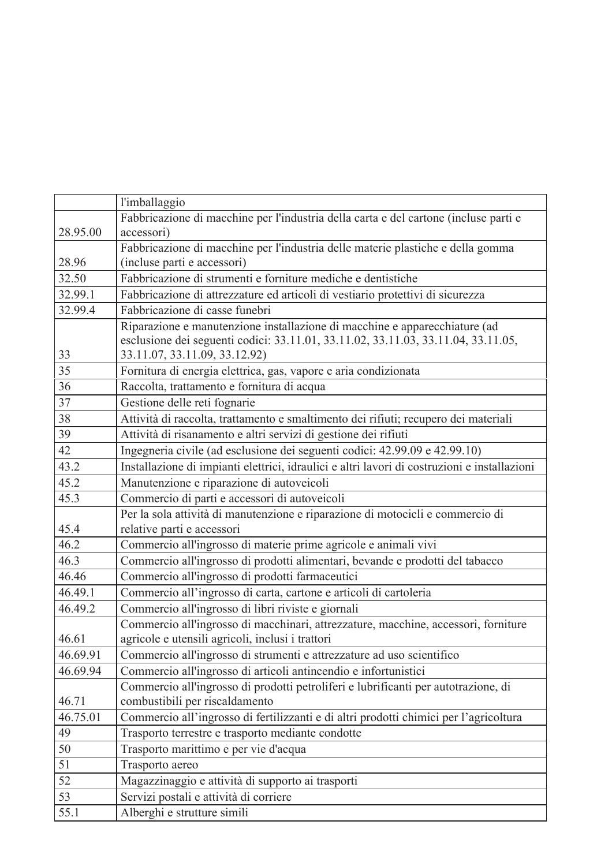|          | l'imballaggio                                                                                                                                                                                    |
|----------|--------------------------------------------------------------------------------------------------------------------------------------------------------------------------------------------------|
|          | Fabbricazione di macchine per l'industria della carta e del cartone (incluse parti e                                                                                                             |
| 28.95.00 | accessori)                                                                                                                                                                                       |
|          | Fabbricazione di macchine per l'industria delle materie plastiche e della gomma                                                                                                                  |
| 28.96    | (incluse parti e accessori)                                                                                                                                                                      |
| 32.50    | Fabbricazione di strumenti e forniture mediche e dentistiche                                                                                                                                     |
| 32.99.1  | Fabbricazione di attrezzature ed articoli di vestiario protettivi di sicurezza                                                                                                                   |
| 32.99.4  | Fabbricazione di casse funebri                                                                                                                                                                   |
| 33       | Riparazione e manutenzione installazione di macchine e apparecchiature (ad<br>esclusione dei seguenti codici: 33.11.01, 33.11.02, 33.11.03, 33.11.04, 33.11.05,<br>33.11.07, 33.11.09, 33.12.92) |
| 35       | Fornitura di energia elettrica, gas, vapore e aria condizionata                                                                                                                                  |
| 36       | Raccolta, trattamento e fornitura di acqua                                                                                                                                                       |
| 37       | Gestione delle reti fognarie                                                                                                                                                                     |
| 38       | Attività di raccolta, trattamento e smaltimento dei rifiuti; recupero dei materiali                                                                                                              |
| 39       | Attività di risanamento e altri servizi di gestione dei rifiuti                                                                                                                                  |
| 42       | Ingegneria civile (ad esclusione dei seguenti codici: 42.99.09 e 42.99.10)                                                                                                                       |
| 43.2     | Installazione di impianti elettrici, idraulici e altri lavori di costruzioni e installazioni                                                                                                     |
| 45.2     | Manutenzione e riparazione di autoveicoli                                                                                                                                                        |
| 45.3     | Commercio di parti e accessori di autoveicoli                                                                                                                                                    |
|          | Per la sola attività di manutenzione e riparazione di motocicli e commercio di                                                                                                                   |
| 45.4     | relative parti e accessori                                                                                                                                                                       |
| 46.2     | Commercio all'ingrosso di materie prime agricole e animali vivi                                                                                                                                  |
| 46.3     | Commercio all'ingrosso di prodotti alimentari, bevande e prodotti del tabacco                                                                                                                    |
| 46.46    | Commercio all'ingrosso di prodotti farmaceutici                                                                                                                                                  |
| 46.49.1  | Commercio all'ingrosso di carta, cartone e articoli di cartoleria                                                                                                                                |
| 46.49.2  | Commercio all'ingrosso di libri riviste e giornali                                                                                                                                               |
|          | Commercio all'ingrosso di macchinari, attrezzature, macchine, accessori, forniture                                                                                                               |
| 46.61    | agricole e utensili agricoli, inclusi i trattori                                                                                                                                                 |
| 46.69.91 | Commercio all'ingrosso di strumenti e attrezzature ad uso scientifico                                                                                                                            |
| 46.69.94 | Commercio all'ingrosso di articoli antincendio e infortunistici                                                                                                                                  |
|          | Commercio all'ingrosso di prodotti petroliferi e lubrificanti per autotrazione, di                                                                                                               |
| 46.71    | combustibili per riscaldamento                                                                                                                                                                   |
| 46.75.01 | Commercio all'ingrosso di fertilizzanti e di altri prodotti chimici per l'agricoltura                                                                                                            |
| 49       | Trasporto terrestre e trasporto mediante condotte                                                                                                                                                |
| 50       | Trasporto marittimo e per vie d'acqua                                                                                                                                                            |
| 51       | Trasporto aereo                                                                                                                                                                                  |
| 52       | Magazzinaggio e attività di supporto ai trasporti                                                                                                                                                |
| 53       | Servizi postali e attività di corriere                                                                                                                                                           |
| 55.1     | Alberghi e strutture simili                                                                                                                                                                      |